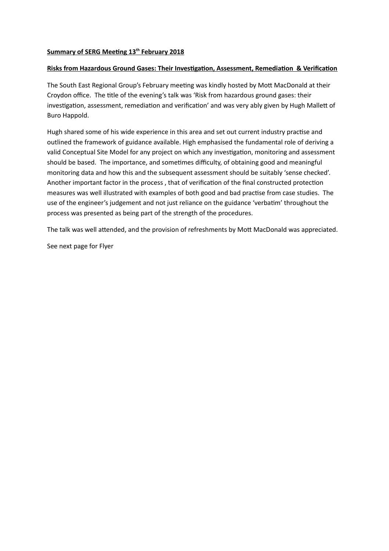# **Summary of SERG Meeting 13th February 2018**

## **Risks from Hazardous Ground Gases: Their Investigation, Assessment, Remediation & Verification**

The South East Regional Group's February meeting was kindly hosted by Mott MacDonald at their Croydon office. The title of the evening's talk was 'Risk from hazardous ground gases: their investigation, assessment, remediation and verification' and was very ably given by Hugh Mallett of Buro Happold.

Hugh shared some of his wide experience in this area and set out current industry practise and outlined the framework of guidance available. High emphasised the fundamental role of deriving a valid Conceptual Site Model for any project on which any investigation, monitoring and assessment should be based. The importance, and sometimes difficulty, of obtaining good and meaningful monitoring data and how this and the subsequent assessment should be suitably 'sense checked'. Another important factor in the process , that of verification of the final constructed protection measures was well illustrated with examples of both good and bad practise from case studies. The use of the engineer's judgement and not just reliance on the guidance 'verbatim' throughout the process was presented as being part of the strength of the procedures.

The talk was well attended, and the provision of refreshments by Mott MacDonald was appreciated.

See next page for Flyer